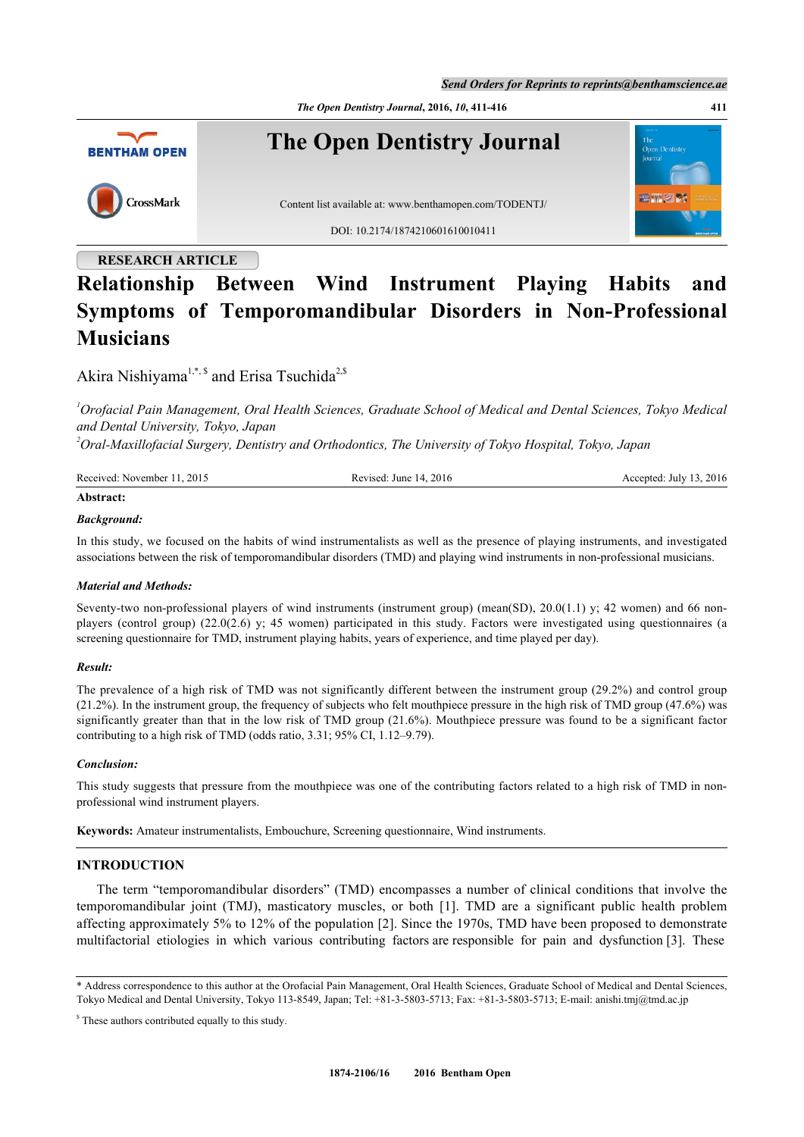*Send Orders for Reprints to reprints@benthamscience.ae*

*The Open Dentistry Journal***, 2016,** *10***, 411-416 411**



## **RESEARCH ARTICLE**

# **Relationship Between Wind Instrument Playing Habits and Symptoms of Temporomandibular Disorders in Non-Professional Musicians**

Akira Nishiyama<sup>[1](#page-0-0),[\\*](#page-0-1), \$</sup> and Erisa Tsuchida<sup>[2](#page-0-2),\$</sup>

<span id="page-0-0"></span>*<sup>1</sup>Orofacial Pain Management, Oral Health Sciences, Graduate School of Medical and Dental Sciences, Tokyo Medical and Dental University, Tokyo, Japan*

<span id="page-0-2"></span>*<sup>2</sup>Oral-Maxillofacial Surgery, Dentistry and Orthodontics, The University of Tokyo Hospital, Tokyo, Japan*

| Received: November 11, 2015 | Revised: June 14, 2016 | Accepted: July 13, 2016 |
|-----------------------------|------------------------|-------------------------|
| Abstract:                   |                        |                         |

## *Background:*

In this study, we focused on the habits of wind instrumentalists as well as the presence of playing instruments, and investigated associations between the risk of temporomandibular disorders (TMD) and playing wind instruments in non-professional musicians.

## *Material and Methods:*

Seventy-two non-professional players of wind instruments (instrument group) (mean(SD),  $20.0(1.1)$  y; 42 women) and 66 nonplayers (control group) (22.0(2.6) y; 45 women) participated in this study. Factors were investigated using questionnaires (a screening questionnaire for TMD, instrument playing habits, years of experience, and time played per day).

## *Result:*

The prevalence of a high risk of TMD was not significantly different between the instrument group (29.2%) and control group (21.2%). In the instrument group, the frequency of subjects who felt mouthpiece pressure in the high risk of TMD group (47.6%) was significantly greater than that in the low risk of TMD group  $(21.6\%)$ . Mouthpiece pressure was found to be a significant factor contributing to a high risk of TMD (odds ratio, 3.31; 95% CI, 1.12–9.79).

## *Conclusion:*

This study suggests that pressure from the mouthpiece was one of the contributing factors related to a high risk of TMD in nonprofessional wind instrument players.

**Keywords:** Amateur instrumentalists, Embouchure, Screening questionnaire, Wind instruments.

## **INTRODUCTION**

The term "temporomandibular disorders" (TMD) encompasses a number of clinical conditions that involve the temporomandibular joint (TMJ), masticatory muscles, or both[[1](#page-4-0)]. TMD are a significant public health problem affecting approximately 5% to 12% of the population [\[2](#page-4-1)]. Since the 1970s, TMD have been proposed to demonstrate multifactorial etiologies in which various contributing factors are responsible for pain and dysfunction [[3\]](#page-4-2). These

<span id="page-0-1"></span>\* Address correspondence to this author at the Orofacial Pain Management, Oral Health Sciences, Graduate School of Medical and Dental Sciences, Tokyo Medical and Dental University, Tokyo 113-8549, Japan; Tel: +81-3-5803-5713; Fax: +81-3-5803-5713; E-mail: [anishi.tmj@tmd.ac.jp](mailto:anishi.tmj@tmd.ac.jp)

<sup>\$</sup> These authors contributed equally to this study.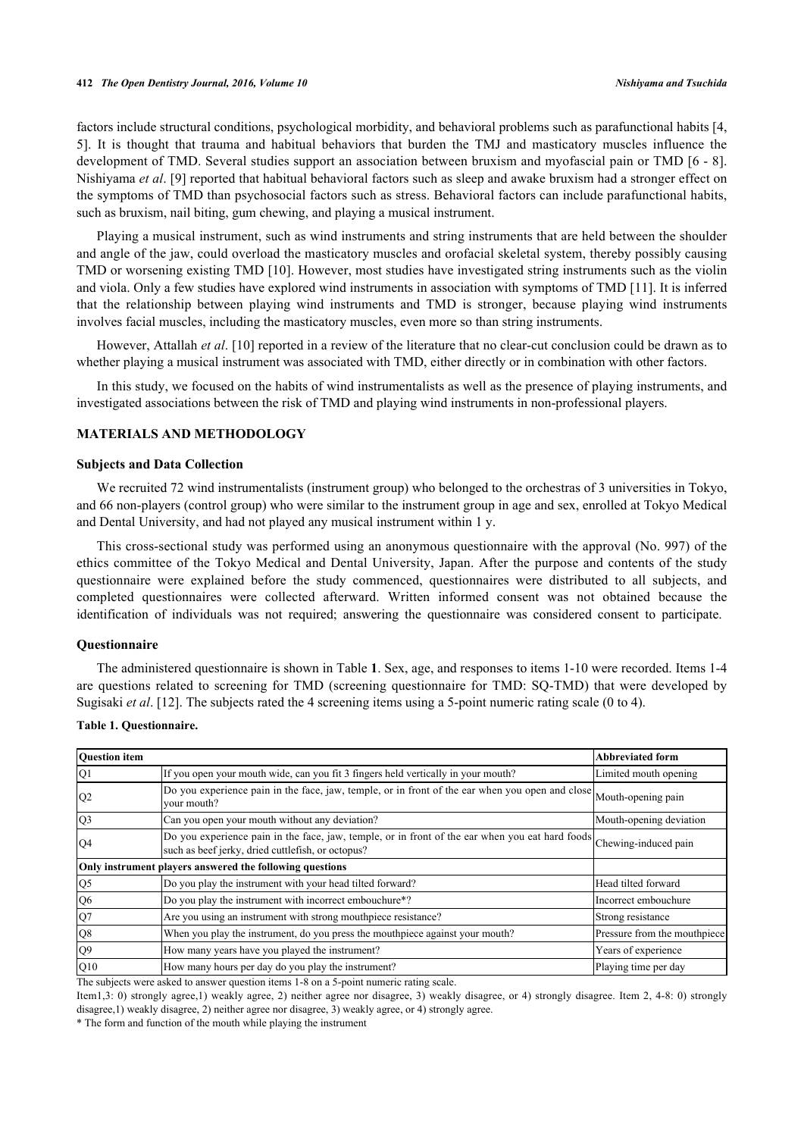#### **412** *The Open Dentistry Journal, 2016, Volume 10 Nishiyama and Tsuchida*

factors include structural conditions, psychological morbidity, and behavioral problems such as parafunctional habits [\[4](#page-4-3), [5\]](#page-4-4). It is thought that trauma and habitual behaviors that burden the TMJ and masticatory muscles influence the development of TMD. Several studies support an association between bruxism and myofascial pain or TMD [[6](#page-4-5) - [8\]](#page-4-6). Nishiyama *et al*. [[9\]](#page-4-7) reported that habitual behavioral factors such as sleep and awake bruxism had a stronger effect on the symptoms of TMD than psychosocial factors such as stress. Behavioral factors can include parafunctional habits, such as bruxism, nail biting, gum chewing, and playing a musical instrument.

Playing a musical instrument, such as wind instruments and string instruments that are held between the shoulder and angle of the jaw, could overload the masticatory muscles and orofacial skeletal system, thereby possibly causing TMD or worsening existing TMD [[10](#page-4-8)]. However, most studies have investigated string instruments such as the violin and viola. Only a few studies have explored wind instruments in association with symptoms of TMD [[11](#page-4-9)]. It is inferred that the relationship between playing wind instruments and TMD is stronger, because playing wind instruments involves facial muscles, including the masticatory muscles, even more so than string instruments.

However, Attallah *et al*. [\[10](#page-4-8)] reported in a review of the literature that no clear-cut conclusion could be drawn as to whether playing a musical instrument was associated with TMD, either directly or in combination with other factors.

In this study, we focused on the habits of wind instrumentalists as well as the presence of playing instruments, and investigated associations between the risk of TMD and playing wind instruments in non-professional players.

## **MATERIALS AND METHODOLOGY**

#### **Subjects and Data Collection**

We recruited 72 wind instrumentalists (instrument group) who belonged to the orchestras of 3 universities in Tokyo, and 66 non-players (control group) who were similar to the instrument group in age and sex, enrolled at Tokyo Medical and Dental University, and had not played any musical instrument within 1 y.

This cross-sectional study was performed using an anonymous questionnaire with the approval (No. 997) of the ethics committee of the Tokyo Medical and Dental University, Japan. After the purpose and contents of the study questionnaire were explained before the study commenced, questionnaires were distributed to all subjects, and completed questionnaires were collected afterward. Written informed consent was not obtained because the identification of individuals was not required; answering the questionnaire was considered consent to participate.

## **Questionnaire**

The administered questionnaire is shown in Table **[1](#page-1-0)**. Sex, age, and responses to items 1-10 were recorded. Items 1-4 are questions related to screening for TMD (screening questionnaire for TMD: SQ-TMD) that were developed by Sugisaki *et al.* [\[12](#page-4-10)]. The subjects rated the 4 screening items using a 5-point numeric rating scale (0 to 4).

| <b>Ouestion</b> item |                                                                                                                                                                           | <b>Abbreviated form</b>      |
|----------------------|---------------------------------------------------------------------------------------------------------------------------------------------------------------------------|------------------------------|
| Q1                   | If you open your mouth wide, can you fit 3 fingers held vertically in your mouth?                                                                                         | Limited mouth opening        |
| Q2                   | Do you experience pain in the face, jaw, temple, or in front of the ear when you open and close<br>vour mouth?                                                            | Mouth-opening pain           |
| Q <sub>3</sub>       | Can you open your mouth without any deviation?                                                                                                                            | Mouth-opening deviation      |
| Q4                   | Do you experience pain in the face, jaw, temple, or in front of the ear when you eat hard foods Chewing-induced pain<br>such as beef jerky, dried cuttlefish, or octopus? |                              |
|                      | Only instrument players answered the following questions                                                                                                                  |                              |
| Q <sub>5</sub>       | Do you play the instrument with your head tilted forward?                                                                                                                 | Head tilted forward          |
| Q <sub>6</sub>       | Do you play the instrument with incorrect embouchure*?                                                                                                                    | Incorrect embouchure         |
| Q7                   | Are you using an instrument with strong mouthpiece resistance?                                                                                                            | Strong resistance            |
| Q <sub>8</sub>       | When you play the instrument, do you press the mouthpiece against your mouth?                                                                                             | Pressure from the mouthpiece |
| Q <sub>9</sub>       | How many years have you played the instrument?                                                                                                                            | Years of experience          |
| Q10                  | How many hours per day do you play the instrument?                                                                                                                        | Playing time per day         |

<span id="page-1-0"></span>**Table 1. Questionnaire.**

The subjects were asked to answer question items 1-8 on a 5-point numeric rating scale.

Item1,3: 0) strongly agree,1) weakly agree, 2) neither agree nor disagree, 3) weakly disagree, or 4) strongly disagree. Item 2, 4-8: 0) strongly disagree,1) weakly disagree, 2) neither agree nor disagree, 3) weakly agree, or 4) strongly agree.

\* The form and function of the mouth while playing the instrument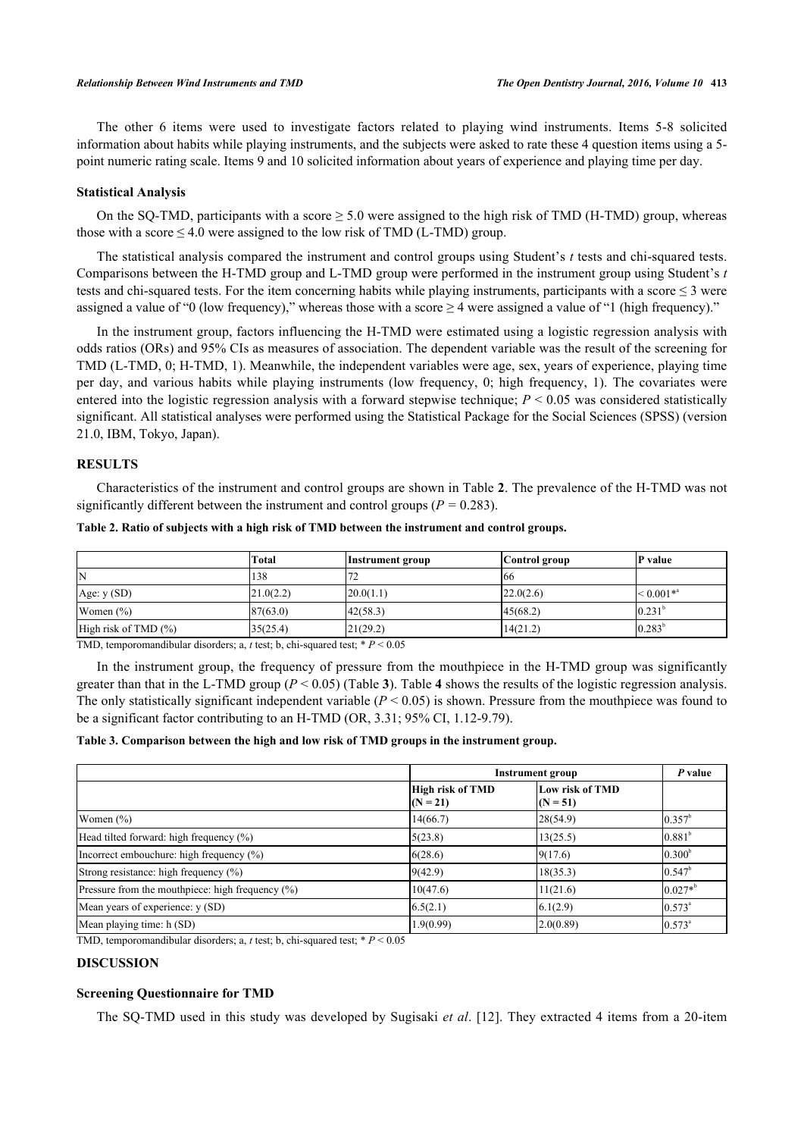The other 6 items were used to investigate factors related to playing wind instruments. Items 5-8 solicited information about habits while playing instruments, and the subjects were asked to rate these 4 question items using a 5 point numeric rating scale. Items 9 and 10 solicited information about years of experience and playing time per day.

#### **Statistical Analysis**

On the SO-TMD, participants with a score  $\geq 5.0$  were assigned to the high risk of TMD (H-TMD) group, whereas those with a score  $\leq 4.0$  were assigned to the low risk of TMD (L-TMD) group.

The statistical analysis compared the instrument and control groups using Student's *t* tests and chi-squared tests. Comparisons between the H-TMD group and L-TMD group were performed in the instrument group using Student's *t* tests and chi-squared tests. For the item concerning habits while playing instruments, participants with a score  $\leq$  3 were assigned a value of "0 (low frequency)," whereas those with a score  $\geq$  4 were assigned a value of "1 (high frequency)."

In the instrument group, factors influencing the H-TMD were estimated using a logistic regression analysis with odds ratios (ORs) and 95% CIs as measures of association. The dependent variable was the result of the screening for TMD (L-TMD, 0; H-TMD, 1). Meanwhile, the independent variables were age, sex, years of experience, playing time per day, and various habits while playing instruments (low frequency, 0; high frequency, 1). The covariates were entered into the logistic regression analysis with a forward stepwise technique;  $P \le 0.05$  was considered statistically significant. All statistical analyses were performed using the Statistical Package for the Social Sciences (SPSS) (version 21.0, IBM, Tokyo, Japan).

## **RESULTS**

Characteristics of the instrument and control groups are shown in Table **[2](#page-2-0)**. The prevalence of the H-TMD was not significantly different between the instrument and control groups ( $P = 0.283$ ).

|                              | Total     | Instrument group | Control group | P value            |
|------------------------------|-----------|------------------|---------------|--------------------|
| IN                           | 138       | ت ا              | 166           |                    |
| Age: $y(SD)$                 | 21.0(2.2) | 120.0(1.1)       | 22.0(2.6)     | $\leq 0.001**$     |
| Women $(\% )$                | 87(63.0)  | 142(58.3)        | 45(68.2)      | 0.231 <sup>b</sup> |
| High risk of TMD $(\%)$      | 35(25.4)  | 21(29.2)         | 14(21.2)      | $0.283^{b}$        |
| state of the contract of the | .         | .                |               |                    |

<span id="page-2-0"></span>**Table 2. Ratio of subjects with a high risk of TMD between the instrument and control groups.**

TMD, temporomandibular disorders; a, *t* test; b, chi-squared test;  $* P \le 0.05$ 

In the instrument group, the frequency of pressure from the mouthpiece in the H-TMD group was significantly greater than that in the L-TMD group  $(P < 0.05)$  (Table [3](#page-2-1)). Table [4](#page-3-0) shows the results of the logistic regression analysis. The only statistically significant independent variable  $(P < 0.05)$  is shown. Pressure from the mouthpiece was found to be a significant factor contributing to an H-TMD (OR, 3.31; 95% CI, 1.12-9.79).

#### <span id="page-2-1"></span>**Table 3. Comparison between the high and low risk of TMD groups in the instrument group.**

|                                                     | <b>Instrument group</b>               | P value                       |                    |
|-----------------------------------------------------|---------------------------------------|-------------------------------|--------------------|
|                                                     | <b>High risk of TMD</b><br>$(N = 21)$ | Low risk of TMD<br>$(N = 51)$ |                    |
| Women $(\%)$                                        | 14(66.7)                              | 28(54.9)                      | $0.357^{\rm b}$    |
| Head tilted forward: high frequency (%)             | 5(23.8)                               | 13(25.5)                      | 0.881 <sup>b</sup> |
| Incorrect embouchure: high frequency (%)            | 6(28.6)                               | 9(17.6)                       | 0.300 <sup>b</sup> |
| Strong resistance: high frequency (%)               | 9(42.9)                               | 18(35.3)                      | $0.547^{\rm b}$    |
| Pressure from the mouthpiece: high frequency $(\%)$ | 10(47.6)                              | 11(21.6)                      | $0.027*^{b}$       |
| Mean years of experience: y (SD)                    | 6.5(2.1)                              | 6.1(2.9)                      | $0.573^{\circ}$    |
| Mean playing time: h (SD)                           | 1.9(0.99)                             | 2.0(0.89)                     | $0.573^{\circ}$    |

TMD, temporomandibular disorders; a, *t* test; b, chi-squared test; \* *P* < 0.05

## **DISCUSSION**

#### **Screening Questionnaire for TMD**

The SQ-TMD used in this study was developed by Sugisaki *et al*. [\[12\]](#page-4-10). They extracted 4 items from a 20-item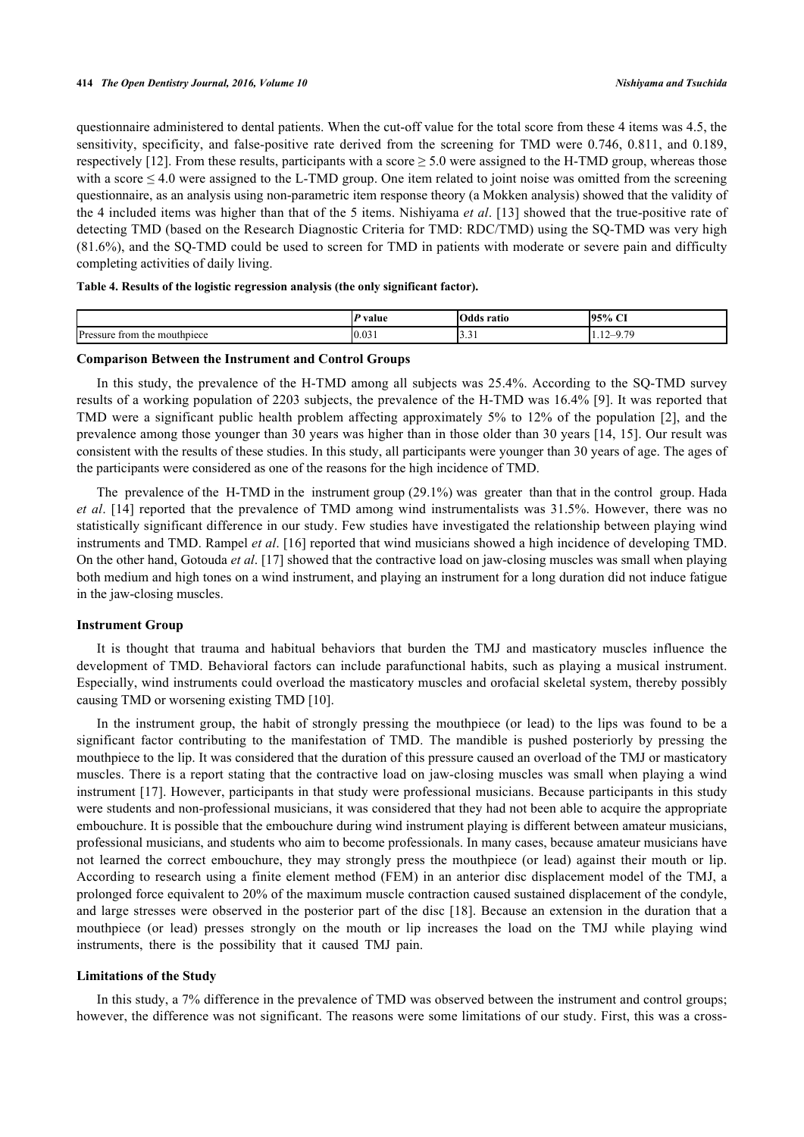questionnaire administered to dental patients. When the cut-off value for the total score from these 4 items was 4.5, the sensitivity, specificity, and false-positive rate derived from the screening for TMD were 0.746, 0.811, and 0.189, respectively [\[12](#page-4-10)]. From these results, participants with a score  $\geq$  5.0 were assigned to the H-TMD group, whereas those with a score  $\leq 4.0$  were assigned to the L-TMD group. One item related to joint noise was omitted from the screening questionnaire, as an analysis using non-parametric item response theory (a Mokken analysis) showed that the validity of the 4 included items was higher than that of the 5 items. Nishiyama *et al*. [[13](#page-4-11)] showed that the true-positive rate of detecting TMD (based on the Research Diagnostic Criteria for TMD: RDC/TMD) using the SQ-TMD was very high (81.6%), and the SQ-TMD could be used to screen for TMD in patients with moderate or severe pain and difficulty completing activities of daily living.

<span id="page-3-0"></span>

|  |  |  | Table 4. Results of the logistic regression analysis (the only significant factor). |  |
|--|--|--|-------------------------------------------------------------------------------------|--|
|  |  |  |                                                                                     |  |

|                                      | ' value | Odds ratio | 95%<br>$\sim$ |
|--------------------------------------|---------|------------|---------------|
| Pressur<br>trom<br>mouthpiece<br>the | 0.031   | .          | $-9.70$<br>.  |

#### **Comparison Between the Instrument and Control Groups**

In this study, the prevalence of the H-TMD among all subjects was 25.4%. According to the SQ-TMD survey results of a working population of 2203 subjects, the prevalence of the H-TMD was 16.4% [[9](#page-4-7)]. It was reported that TMD were a significant public health problem affecting approximately 5% to 12% of the population [[2\]](#page-4-1), and the prevalence among those younger than 30 years was higher than in those older than 30 years [\[14,](#page-4-12) [15](#page-5-0)]. Our result was consistent with the results of these studies. In this study, all participants were younger than 30 years of age. The ages of the participants were considered as one of the reasons for the high incidence of TMD.

The prevalence of the H-TMD in the instrument group (29.1%) was greater than that in the control group. Hada *et al*. [[14\]](#page-4-12) reported that the prevalence of TMD among wind instrumentalists was 31.5%. However, there was no statistically significant difference in our study. Few studies have investigated the relationship between playing wind instruments and TMD. Rampel *et al*. [\[16](#page-5-1)] reported that wind musicians showed a high incidence of developing TMD. On the other hand, Gotouda *et al*. [[17\]](#page-5-2) showed that the contractive load on jaw-closing muscles was small when playing both medium and high tones on a wind instrument, and playing an instrument for a long duration did not induce fatigue in the jaw-closing muscles.

#### **Instrument Group**

It is thought that trauma and habitual behaviors that burden the TMJ and masticatory muscles influence the development of TMD. Behavioral factors can include parafunctional habits, such as playing a musical instrument. Especially, wind instruments could overload the masticatory muscles and orofacial skeletal system, thereby possibly causing TMD or worsening existing TMD [[10\]](#page-4-8).

In the instrument group, the habit of strongly pressing the mouthpiece (or lead) to the lips was found to be a significant factor contributing to the manifestation of TMD. The mandible is pushed posteriorly by pressing the mouthpiece to the lip. It was considered that the duration of this pressure caused an overload of the TMJ or masticatory muscles. There is a report stating that the contractive load on jaw-closing muscles was small when playing a wind instrument [\[17](#page-5-2)]. However, participants in that study were professional musicians. Because participants in this study were students and non-professional musicians, it was considered that they had not been able to acquire the appropriate embouchure. It is possible that the embouchure during wind instrument playing is different between amateur musicians, professional musicians, and students who aim to become professionals. In many cases, because amateur musicians have not learned the correct embouchure, they may strongly press the mouthpiece (or lead) against their mouth or lip. According to research using a finite element method (FEM) in an anterior disc displacement model of the TMJ, a prolonged force equivalent to 20% of the maximum muscle contraction caused sustained displacement of the condyle, and large stresses were observed in the posterior part of the disc [[18\]](#page-5-3). Because an extension in the duration that a mouthpiece (or lead) presses strongly on the mouth or lip increases the load on the TMJ while playing wind instruments, there is the possibility that it caused TMJ pain.

#### **Limitations of the Study**

In this study, a 7% difference in the prevalence of TMD was observed between the instrument and control groups; however, the difference was not significant. The reasons were some limitations of our study. First, this was a cross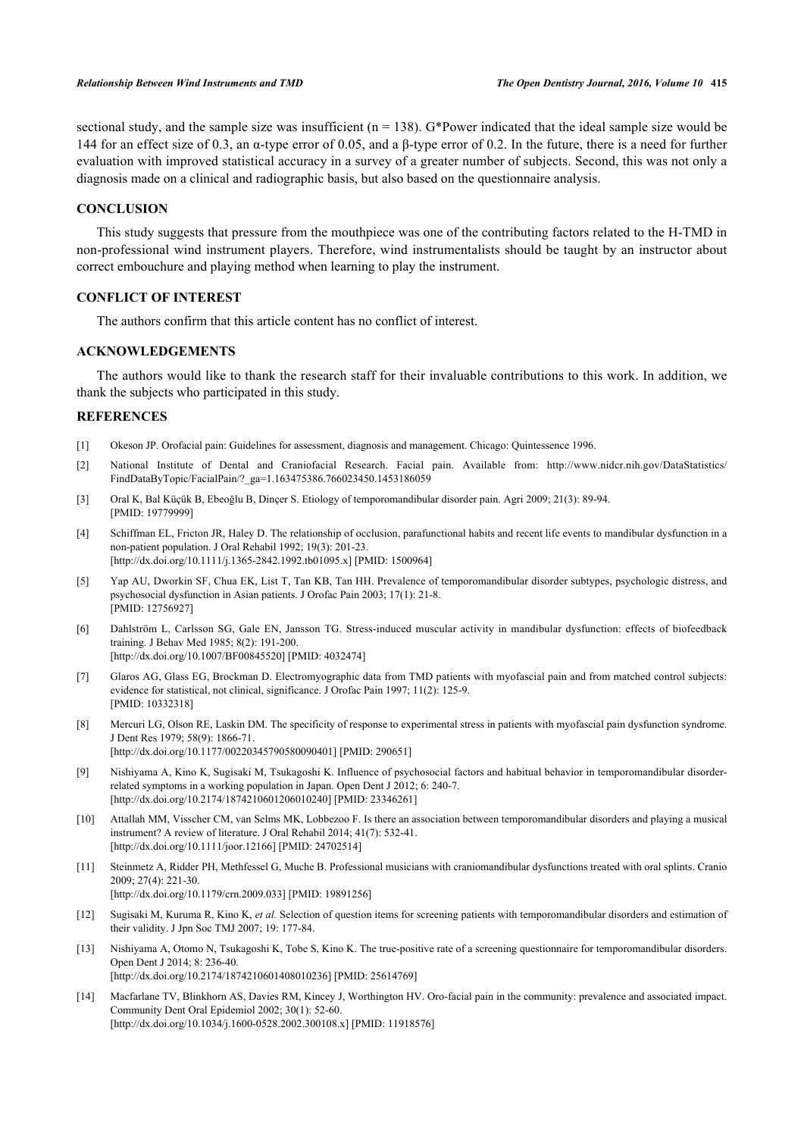sectional study, and the sample size was insufficient ( $n = 138$ ). G\*Power indicated that the ideal sample size would be 144 for an effect size of 0.3, an α-type error of 0.05, and a β-type error of 0.2. In the future, there is a need for further evaluation with improved statistical accuracy in a survey of a greater number of subjects. Second, this was not only a diagnosis made on a clinical and radiographic basis, but also based on the questionnaire analysis.

## **CONCLUSION**

This study suggests that pressure from the mouthpiece was one of the contributing factors related to the H-TMD in non-professional wind instrument players. Therefore, wind instrumentalists should be taught by an instructor about correct embouchure and playing method when learning to play the instrument.

## **CONFLICT OF INTEREST**

The authors confirm that this article content has no conflict of interest.

## **ACKNOWLEDGEMENTS**

The authors would like to thank the research staff for their invaluable contributions to this work. In addition, we thank the subjects who participated in this study.

#### **REFERENCES**

- <span id="page-4-0"></span>[1] Okeson JP. Orofacial pain: Guidelines for assessment, diagnosis and management. Chicago: Quintessence 1996.
- <span id="page-4-1"></span>[2] National Institute of Dental and Craniofacial Research. Facial pain. Available from: [http://www.nidcr.nih.gov/DataStatistics/](http://www.nidcr.nih.gov/DataStatistics/FindDataByTopic/FacialPain/?_ga=1.163475386.766023450.1453186059) [FindDataByTopic/FacialPain/?\\_ga=1.163475386.766023450.1453186059](http://www.nidcr.nih.gov/DataStatistics/FindDataByTopic/FacialPain/?_ga=1.163475386.766023450.1453186059)
- <span id="page-4-2"></span>[3] Oral K, Bal Küçük B, Ebeoğlu B, Dinçer S. Etiology of temporomandibular disorder pain. Agri 2009; 21(3): 89-94. [PMID: [19779999\]](http://www.ncbi.nlm.nih.gov/pubmed/19779999)
- <span id="page-4-3"></span>[4] Schiffman EL, Fricton JR, Haley D. The relationship of occlusion, parafunctional habits and recent life events to mandibular dysfunction in a non-patient population. J Oral Rehabil 1992; 19(3): 201-23. [\[http://dx.doi.org/10.1111/j.1365-2842.1992.tb01095.x\]](http://dx.doi.org/10.1111/j.1365-2842.1992.tb01095.x) [PMID: [1500964](http://www.ncbi.nlm.nih.gov/pubmed/1500964)]
- <span id="page-4-4"></span>[5] Yap AU, Dworkin SF, Chua EK, List T, Tan KB, Tan HH. Prevalence of temporomandibular disorder subtypes, psychologic distress, and psychosocial dysfunction in Asian patients. J Orofac Pain 2003; 17(1): 21-8. [PMID: [12756927\]](http://www.ncbi.nlm.nih.gov/pubmed/12756927)
- <span id="page-4-5"></span>[6] Dahlström L, Carlsson SG, Gale EN, Jansson TG. Stress-induced muscular activity in mandibular dysfunction: effects of biofeedback training. J Behav Med 1985; 8(2): 191-200. [\[http://dx.doi.org/10.1007/BF00845520\]](http://dx.doi.org/10.1007/BF00845520) [PMID: [4032474](http://www.ncbi.nlm.nih.gov/pubmed/4032474)]
- [7] Glaros AG, Glass EG, Brockman D. Electromyographic data from TMD patients with myofascial pain and from matched control subjects: evidence for statistical, not clinical, significance. J Orofac Pain 1997; 11(2): 125-9. [PMID: [10332318\]](http://www.ncbi.nlm.nih.gov/pubmed/10332318)
- <span id="page-4-6"></span>[8] Mercuri LG, Olson RE, Laskin DM. The specificity of response to experimental stress in patients with myofascial pain dysfunction syndrome. J Dent Res 1979; 58(9): 1866-71. [\[http://dx.doi.org/10.1177/00220345790580090401\]](http://dx.doi.org/10.1177/00220345790580090401) [PMID: [290651](http://www.ncbi.nlm.nih.gov/pubmed/290651)]
- <span id="page-4-7"></span>[9] Nishiyama A, Kino K, Sugisaki M, Tsukagoshi K. Influence of psychosocial factors and habitual behavior in temporomandibular disorderrelated symptoms in a working population in Japan. Open Dent J 2012; 6: 240-7. [\[http://dx.doi.org/10.2174/1874210601206010240\]](http://dx.doi.org/10.2174/1874210601206010240) [PMID: [23346261](http://www.ncbi.nlm.nih.gov/pubmed/23346261)]
- <span id="page-4-8"></span>[10] Attallah MM, Visscher CM, van Selms MK, Lobbezoo F. Is there an association between temporomandibular disorders and playing a musical instrument? A review of literature. J Oral Rehabil 2014; 41(7): 532-41. [\[http://dx.doi.org/10.1111/joor.12166\]](http://dx.doi.org/10.1111/joor.12166) [PMID: [24702514](http://www.ncbi.nlm.nih.gov/pubmed/24702514)]
- <span id="page-4-9"></span>[11] Steinmetz A, Ridder PH, Methfessel G, Muche B. Professional musicians with craniomandibular dysfunctions treated with oral splints. Cranio 2009; 27(4): 221-30. [\[http://dx.doi.org/10.1179/crn.2009.033](http://dx.doi.org/10.1179/crn.2009.033)] [PMID: [19891256\]](http://www.ncbi.nlm.nih.gov/pubmed/19891256)
- <span id="page-4-10"></span>[12] Sugisaki M, Kuruma R, Kino K, *et al.* Selection of question items for screening patients with temporomandibular disorders and estimation of their validity. J Jpn Soc TMJ 2007; 19: 177-84.
- <span id="page-4-11"></span>[13] Nishiyama A, Otomo N, Tsukagoshi K, Tobe S, Kino K. The true-positive rate of a screening questionnaire for temporomandibular disorders. Open Dent J 2014; 8: 236-40. [\[http://dx.doi.org/10.2174/1874210601408010236\]](http://dx.doi.org/10.2174/1874210601408010236) [PMID: [25614769](http://www.ncbi.nlm.nih.gov/pubmed/25614769)]
- <span id="page-4-12"></span>[14] Macfarlane TV, Blinkhorn AS, Davies RM, Kincey J, Worthington HV. Oro-facial pain in the community: prevalence and associated impact. Community Dent Oral Epidemiol 2002; 30(1): 52-60. [\[http://dx.doi.org/10.1034/j.1600-0528.2002.300108.x\]](http://dx.doi.org/10.1034/j.1600-0528.2002.300108.x) [PMID: [11918576](http://www.ncbi.nlm.nih.gov/pubmed/11918576)]